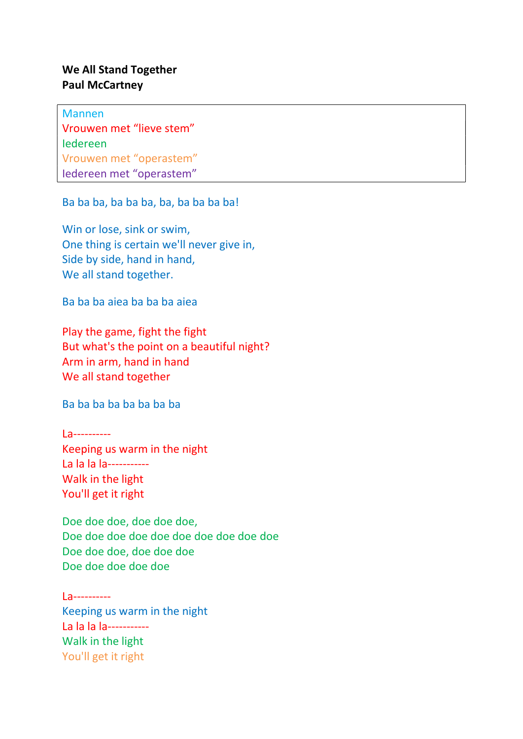## We All Stand Together Paul McCartney

Mannen Vrouwen met "lieve stem" Iedereen Vrouwen met "operastem" Iedereen met "operastem"

Ba ba ba, ba ba ba, ba, ba ba ba ba!

Win or lose, sink or swim, One thing is certain we'll never give in, Side by side, hand in hand, We all stand together.

Ba ba ba aiea ba ba ba aiea

Play the game, fight the fight But what's the point on a beautiful night? Arm in arm, hand in hand We all stand together

Ba ba ba ba ba ba ba ba

La---------- Keeping us warm in the night La la la la----------- Walk in the light You'll get it right

Doe doe doe, doe doe doe, Doe doe doe doe doe doe doe doe doe doe Doe doe doe, doe doe doe Doe doe doe doe doe

La---------- Keeping us warm in the night La la la la----------- Walk in the light You'll get it right